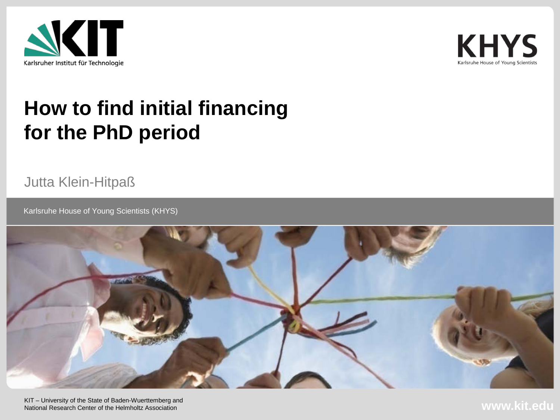



## **How to find initial financing for the PhD period**

Jutta Klein-Hitpaß

**Karlsruhe House of Young Scientists (KHYS)** 



KIT – University of the State of Baden-Wuerttemberg and National Research Center of the Helmholtz Association

**www.kit.edu**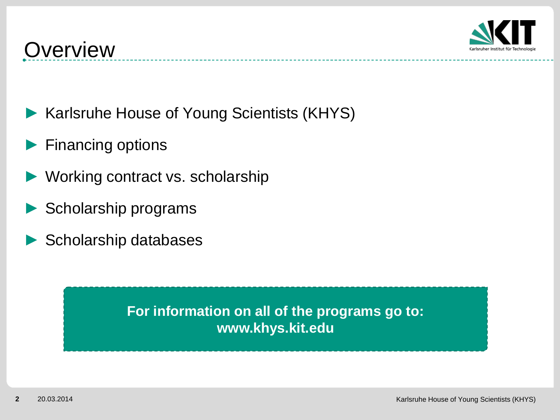

- ► Karlsruhe House of Young Scientists (KHYS)
- Financing options
- Working contract vs. scholarship
- Scholarship programs
- Scholarship databases

**For information on all of the programs go to: www.khys.kit.edu**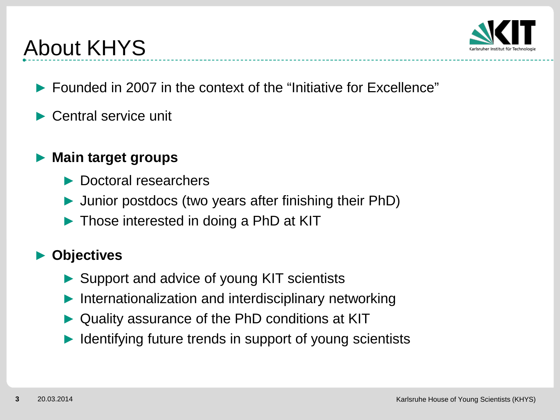

# About KHYS

- ► Founded in 2007 in the context of the "Initiative for Excellence"
- Central service unit

### ► **Main target groups**

- ► Doctoral researchers
- ► Junior postdocs (two years after finishing their PhD)
- ► Those interested in doing a PhD at KIT

### ► **Objectives**

- ► Support and advice of young KIT scientists
- Internationalization and interdisciplinary networking
- Quality assurance of the PhD conditions at KIT
- Identifying future trends in support of young scientists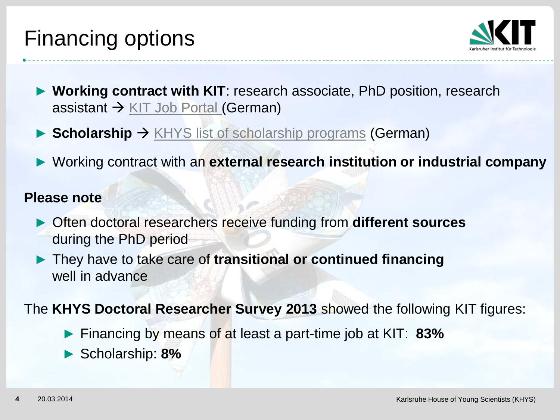## Financing options



- ► **Working contract with KIT**: research associate, PhD position, research assistant  $\rightarrow$  [KIT Job Portal \(](http://www.pse.kit.edu/english/karriere/121.php)German)
- ► **Scholarship** → [KHYS list of scholarship programs](http://www.khys.kit.edu/english/finanzierung-und-stipendien.php) (German)
- ► Working contract with an **external research institution or industrial company**

#### **Please note**

- ► Often doctoral researchers receive funding from **different sources** during the PhD period
- ► They have to take care of **transitional or continued financing** well in advance

The **KHYS Doctoral Researcher Survey 2013** showed the following KIT figures:

- ► Financing by means of at least a part-time job at KIT: **83%**
- ► Scholarship: **8%**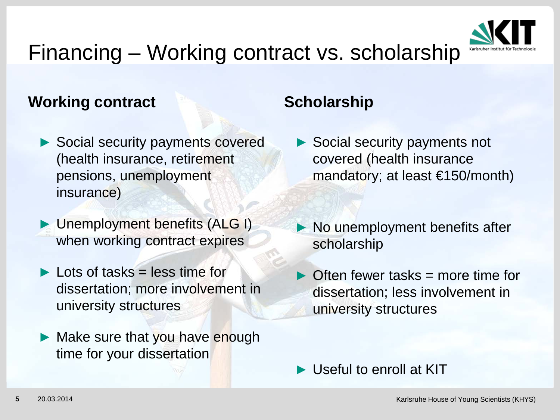

# Financing – Working contract vs. scholarship

### **Working contract**

- ▶ Social security payments covered (health insurance, retirement pensions, unemployment insurance)
- ► Unemployment benefits (ALG I) when working contract expires
- $\blacktriangleright$  Lots of tasks = less time for dissertation; more involvement in university structures
- ► Make sure that you have enough time for your dissertation

### **Scholarship**

- ► Social security payments not covered (health insurance mandatory; at least €150/month)
- ► No unemployment benefits after scholarship
- Often fewer tasks  $=$  more time for dissertation; less involvement in university structures

► Useful to enroll at KIT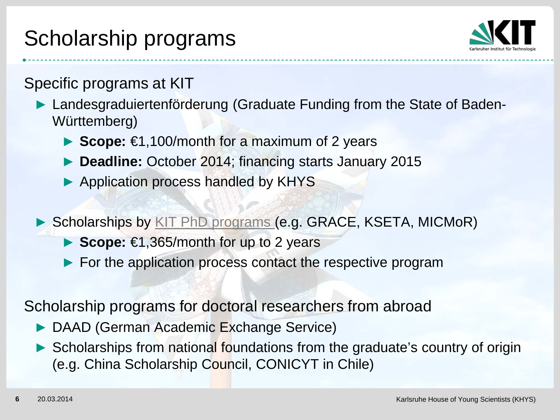# Scholarship programs



Specific programs at KIT

► Landesgraduiertenförderung (Graduate Funding from the State of Baden-Württemberg)

- ► **Scope:** €1,100/month for a maximum of 2 years
- ► **Deadline:** October 2014; financing starts January 2015
- ► Application process handled by KHYS
- ► Scholarships by [KIT PhD programs](http://www.kit.edu/kit/english/phdprograms.php) (e.g. GRACE, KSETA, MICMoR)
	- ► **Scope:** €1,365/month for up to 2 years
	- ► For the application process contact the respective program

Scholarship programs for doctoral researchers from abroad

- ► DAAD (German Academic Exchange Service)
- ► Scholarships from national foundations from the graduate's country of origin (e.g. China Scholarship Council, CONICYT in Chile)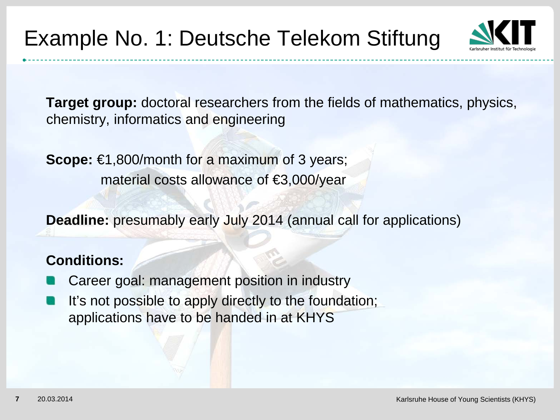

**Target group:** doctoral researchers from the fields of mathematics, physics, chemistry, informatics and engineering

**Scope:** €1,800/month for a maximum of 3 years; material costs allowance of €3,000/year

**Deadline:** presumably early July 2014 (annual call for applications)

#### **Conditions:**

- Career goal: management position in industry
- It's not possible to apply directly to the foundation; applications have to be handed in at KHYS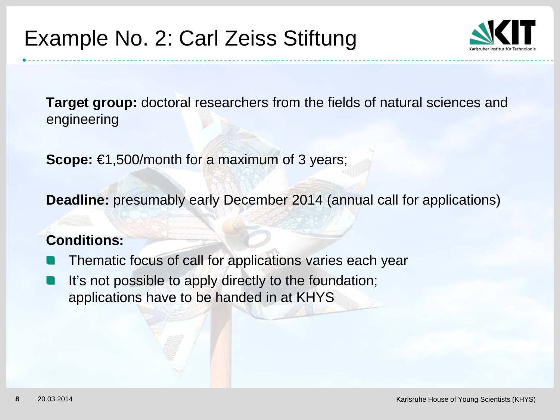

**Target group:** doctoral researchers from the fields of natural sciences and engineering

**Scope:** €1,500/month for a maximum of 3 years;

**Deadline:** presumably early December 2014 (annual call for applications)

#### **Conditions:**

- Thematic focus of call for applications varies each year
- It's not possible to apply directly to the foundation; applications have to be handed in at KHYS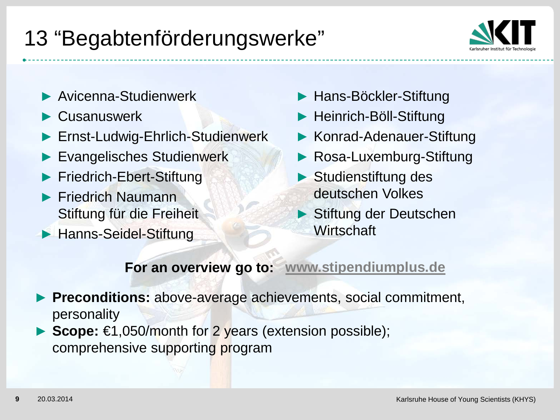# 13 "Begabtenförderungswerke"



- ► Avicenna-Studienwerk
- ► Cusanuswerk
- ► Ernst-Ludwig-Ehrlich-Studienwerk
- ► Evangelisches Studienwerk
- ► Friedrich-Ebert-Stiftung
- ► Friedrich Naumann Stiftung für die Freiheit
- ► Hanns-Seidel-Stiftung
- ► Hans-Böckler-Stiftung
- ► Heinrich-Böll-Stiftung
- ► Konrad-Adenauer-Stiftung
- ► Rosa-Luxemburg-Stiftung
- ► Studienstiftung des deutschen Volkes
- ► Stiftung der Deutschen **Wirtschaft**

### **For an overview go to: [www.stipendiumplus.de](http://www.stipendiumplus.de/)**

- ► **Preconditions:** above-average achievements, social commitment, personality
- ► **Scope:** €1,050/month for 2 years (extension possible); comprehensive supporting program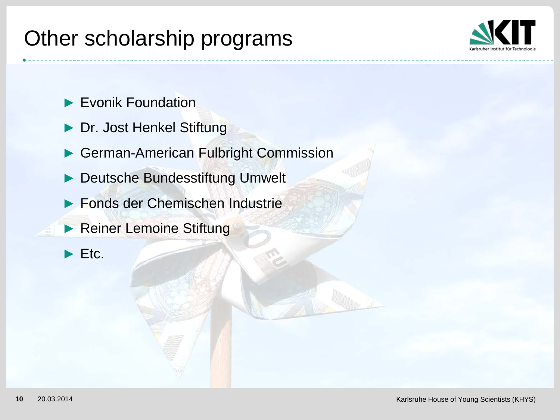## Other scholarship programs



- ► Evonik Foundation
- Dr. Jost Henkel Stiftung
- German-American Fulbright Commission
- Deutsche Bundesstiftung Umwelt
- ► Fonds der Chemischen Industrie
- ► Reiner Lemoine Stiftung
- $\blacktriangleright$  Etc.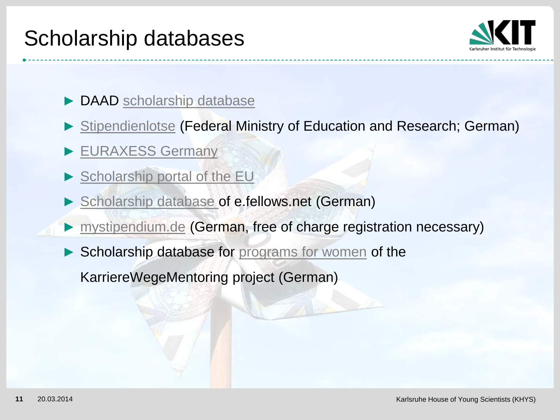## Scholarship databases



- DAAD [scholarship database](https://www.daad.de/ausland/studieren/stipendium/de/70-stipendien-finden-und-bewerben)
- ► [Stipendienlotse](http://www.stipendienlotse.de/) (Federal Ministry of Education and Research; German)
- ► [EURAXESS Germany](http://www.euraxess.de/portal/home_de.html)
- [Scholarship portal of the EU](http://www.scholarshipportal.eu/#basic)
- [Scholarship database](http://www.e-fellows.net/STUDIUM/Stipendien/Stipendien-Datenbank/Stipendium-suchen-finden) of e.fellows.net (German)
- ► [mystipendium.de](http://www.mystipendium.de/) (German, free of charge registration necessary)
- Scholarship database for [programs for women](http://www.frauenkarrierewege.de/index.php/stipendiendatenbank.html) of the

KarriereWegeMentoring project (German)